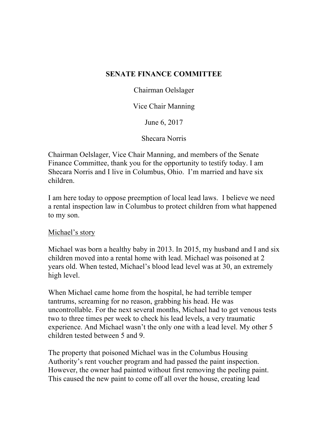## **SENATE FINANCE COMMITTEE**

Chairman Oelslager

Vice Chair Manning

June 6, 2017

Shecara Norris

Chairman Oelslager, Vice Chair Manning, and members of the Senate Finance Committee, thank you for the opportunity to testify today. I am Shecara Norris and I live in Columbus, Ohio. I'm married and have six children.

I am here today to oppose preemption of local lead laws. I believe we need a rental inspection law in Columbus to protect children from what happened to my son.

## Michael's story

Michael was born a healthy baby in 2013. In 2015, my husband and I and six children moved into a rental home with lead. Michael was poisoned at 2 years old. When tested, Michael's blood lead level was at 30, an extremely high level.

When Michael came home from the hospital, he had terrible temper tantrums, screaming for no reason, grabbing his head. He was uncontrollable. For the next several months, Michael had to get venous tests two to three times per week to check his lead levels, a very traumatic experience. And Michael wasn't the only one with a lead level. My other 5 children tested between 5 and 9.

The property that poisoned Michael was in the Columbus Housing Authority's rent voucher program and had passed the paint inspection. However, the owner had painted without first removing the peeling paint. This caused the new paint to come off all over the house, creating lead